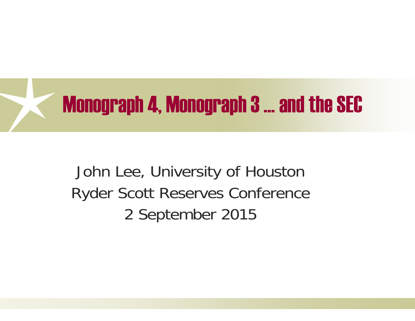

John Lee, University of Houston Ryder Scott Reserves Conference 2 September 2015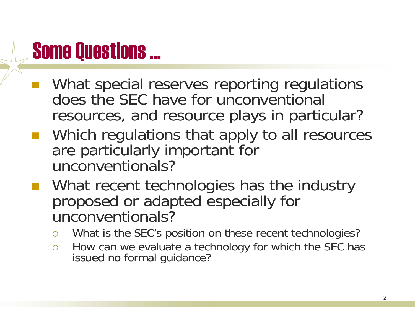## Some Questions …

- What special reserves reporting regulations does the SEC have for unconventional resources, and resource plays in particular?
- Which regulations that apply to all resources are particularly important for unconventionals?
- **NHAT REAREL METABOOGLIS NATA IN WHATE THE WHATE NATA** IN METABOOGLIST proposed or adapted especially for unconventionals?
	- $\overline{O}$ What is the SEC's position on these recent technologies?
	- $\bigcirc$  How can we evaluate a technology for which the SEC has issued no formal guidance?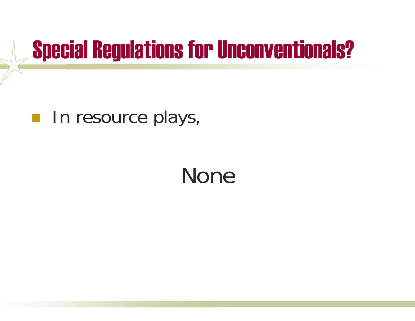## Special Regulations for Unconventionals?

#### **In resource plays,**

## None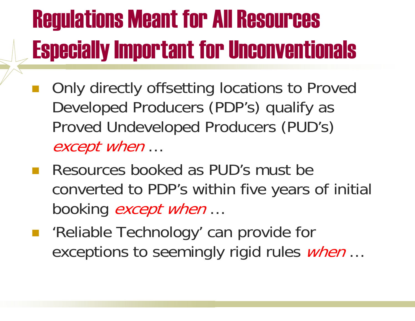## Regulations Meant for All Resources Especially Important for Unconventionals

- Only directly offsetting locations to Proved Developed Producers (PDP's) qualify as Proved Undeveloped Producers (PUD's) except when …
- **Resources booked as PUD's must be** converted to PDP's within five years of initial booking *except when* ...
- $\mathcal{L}^{\text{max}}_{\text{max}}$  'Reliable Technology' can provide for exceptions to seemingly rigid rules *when* ...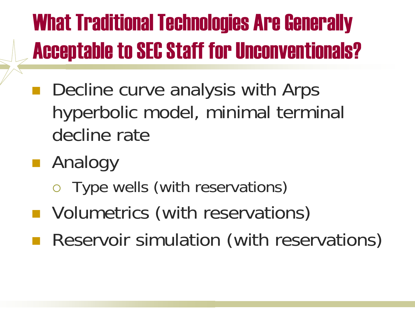## What Traditional Technologies Are Generally Acceptable to SEC Staff for Unconventionals?

- Decline curve analysis with Arps hyperbolic model, minimal terminal decline rate
- Analogy
	- Type wells (with reservations)
- **Nolumetrics (with reservations)**
- Reservoir simulation (with reservations)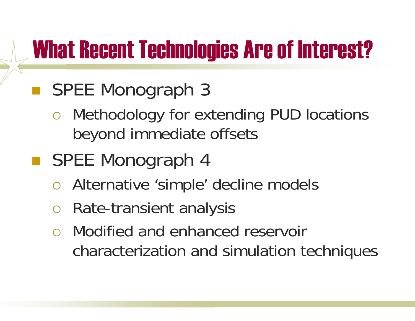## What Recent Technologies Are of Interest?

#### ■ SPEE Monograph 3

 $\bigcirc$  Methodology for extending PUD locations beyond immediate offsets

### ■ SPEE Monograph 4

- $\bigcirc$ Alternative 'simple' decline models
- $\bigcirc$ Rate-transient analysis
- Modified and enhanced reservoir characterization and simulation techniques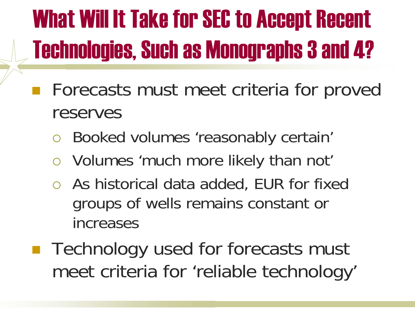# What Will It Take for SEC to Accept Recent Technologies, Such as Monographs 3 and 4?

- Forecasts must meet criteria for proved reserves
	- $\bigcirc$ Booked volumes 'reasonably certain'
	- Volumes 'much more likely than not'
	- As historical data added, EUR for fixed groups of wells remains constant or increases
- Technology used for forecasts must meet criteria for 'reliable technology'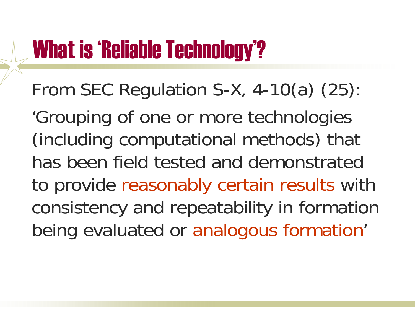## What is 'Reliable Technology'?

From SEC Regulation S-X, 4-10(a) (25):

'Grouping of one or more technologies (including computational methods) that has been field tested and demonstrated to provide reasonably certain results with consistency and repeatability in formation being evaluated or analogous formation'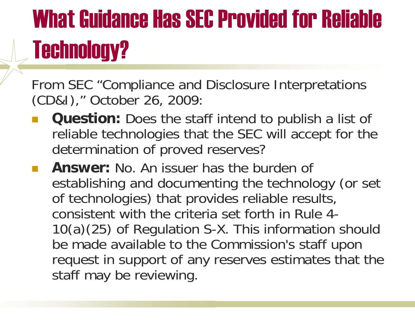# What Guidance Has SEC Provided for Reliable Technology?

From SEC "Compliance and Disclosure Interpretations (CD&I)," October 26, 2009:

- $\mathbb{R}^n$  **Question:** Does the staff intend to publish a list of reliable technologies that the SEC will accept for the determination of proved reserves?
- $\mathbb{R}^2$  **Answer:** No. An issuer has the burden of establishing and documenting the technology (or set of technologies) that provides reliable results, consistent with the criteria set forth in Rule 4-10(a)(25) of Regulation S-X. This information should be made available to the Commission's staff upon request in support of any reserves estimates that the staff may be reviewing.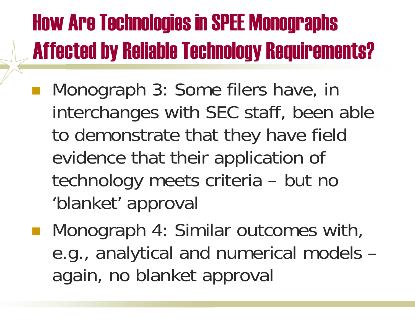## How Are Technologies in SPEE Monographs Affected by Reliable Technology Requirements?

- Monograph 3: Some filers have, in interchanges with SEC staff, been able to demonstrate that they have field evidence that their application of technology meets criteria – but no 'blanket' approval
- Monograph 4: Similar outcomes with, e.g., analytical and numerical models – again, no blanket approval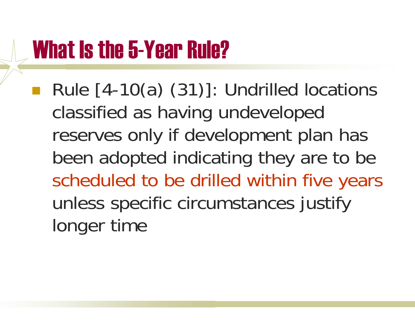## What Is the 5-Year Rule?

 Rule [4-10(a) (31)]: Undrilled locations classified as having undeveloped reserves only if development plan has been adopted indicating they are to be scheduled to be drilled within five years unless specific circumstances justify longer time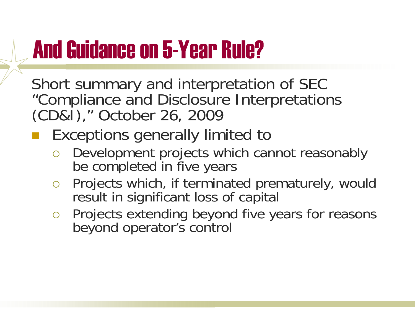## And Guidance on 5-Year Rule?

Short summary and interpretation of SEC "Compliance and Disclosure Interpretations (CD&I)," October 26, 2009

#### **Exceptions generally limited to**

- Development projects which cannot reasonably be completed in five years
- $\overline{O}$  Projects which, if terminated prematurely, would result in significant loss of capital
- $\bigcirc$  Projects extending beyond five years for reasons beyond operator's control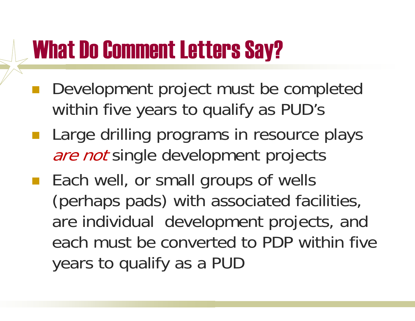## What Do Comment Letters Say?

- pa.<br>Kabupatèn Development project must be completed within five years to qualify as PUD's
- $\mathcal{L}(\mathcal{L})$  Large drilling programs in resource plays are not single development projects
- **Each well, or small groups of wells** (perhaps pads) with associated facilities, are individual development projects, and each must be converted to PDP within five years to qualify as a PUD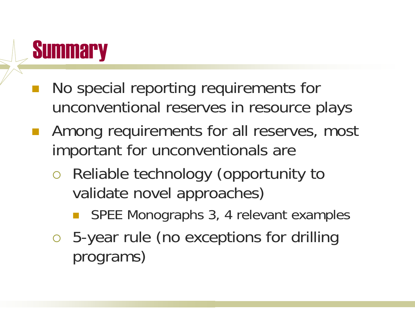## **Summary**

- No special reporting requirements for unconventional reserves in resource plays
- Among requirements for all reserves, most important for unconventionals are
	- $\overline{O}$  Reliable technology (opportunity to validate novel approaches)
		- **Service Service** SPEE Monographs 3, 4 relevant examples
	- 5-year rule (no exceptions for drilling programs)